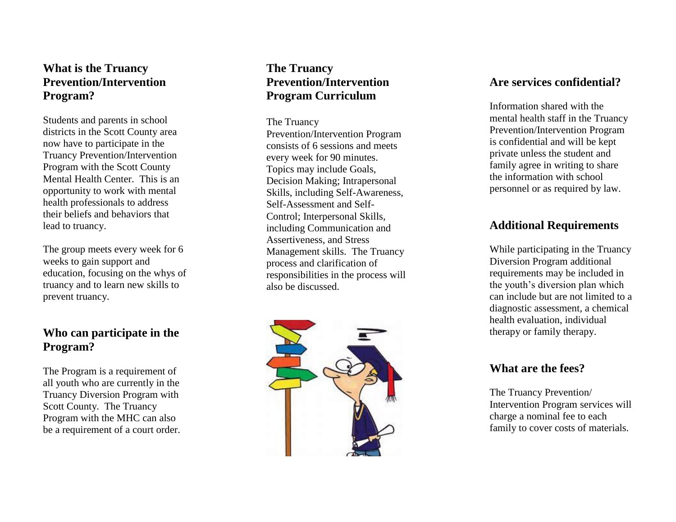## **What is the Truancy Prevention/Intervention Program?**

Students and parents in school districts in the Scott County area now have to participate in the Truancy Prevention/Intervention Program with the Scott County Mental Health Center. This is an opportunity to work with mental health professionals to address their beliefs and behaviors that lead to truancy .

The group meets every week for 6 weeks to gain support and education , focusing on the whys of truancy and to learn new skills to prevent truancy.

## **Who can participate in the Program?**

The Program is a requirement of all youth who are currently in the Truancy Diversion Program with Scott County. The Truancy Program with the MHC can also be a requirement of a court order.

## **The Truancy Prevention/Intervention Program Curriculum**

The Truancy Prevention/Intervention Program consists of 6 sessions and meets every week for 90 minutes. Topics may include Goals, Decision Making; Intrapersonal Skills, including Self-Awareness, Self-Assessment and Self-Control; Interpersonal Skills, including Communication and Assertiveness, and Stress Management skills. The Truancy process and clarification of responsibilities in the process will also be discussed.



#### **Are services confidential?**

Information shared with the mental health staff in the Truancy Prevention/Intervention Program is confidential and will be kept private unless the student and family agree in writing to share the information with school personnel or as required by law.

#### **Additional Requirements**

While participating in the Truancy Diversion Program additional requirements may be included in the youth's diversion plan which can include but are not limited to a diagnostic assessment, a chemical health evaluation, individual therapy or family therapy.

#### **What are the fees?**

The Truancy Prevention/ Intervention Program services will charge a nominal fee to each family to cover costs of materials.